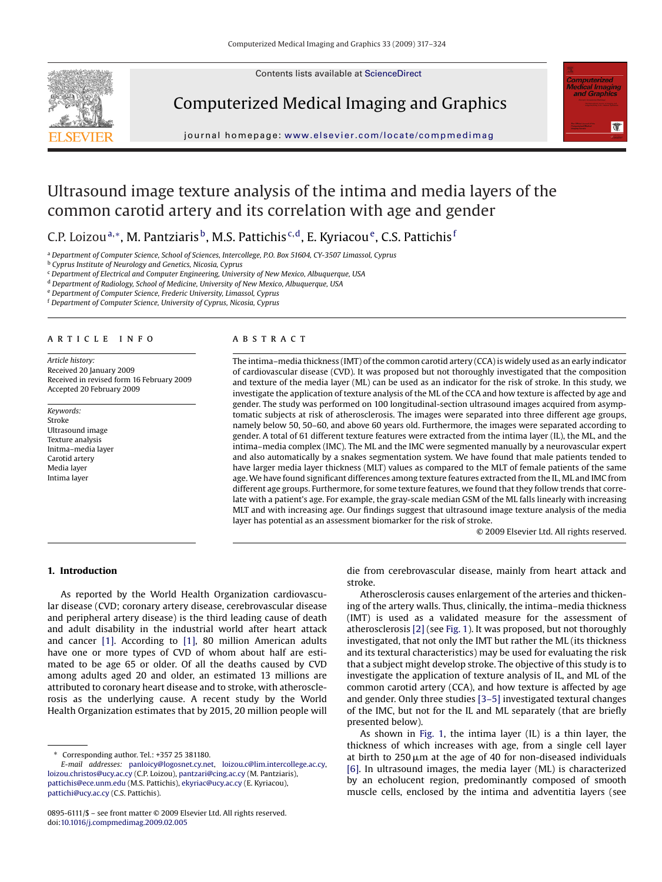Contents lists available at [ScienceDirect](http://www.sciencedirect.com/science/journal/08956111)



Computerized Medical Imaging and Graphics



journal homepage: [www.elsevier.com/locate/compmedimag](http://www.elsevier.com/locate/compmedimag)

# Ultrasound image texture analysis of the intima and media layers of the common carotid artery and its correlation with age and gender

C.P. Loizou<sup>a,∗</sup>, M. Pantziaris<sup>b</sup>, M.S. Pattichis<sup>c,d</sup>, E. Kyriacou<sup>e</sup>, C.S. Pattichis<sup>f</sup>

<sup>a</sup> *Department of Computer Science, School of Sciences, Intercollege, P.O. Box 51604, CY-3507 Limassol, Cyprus*

<sup>b</sup> *Cyprus Institute of Neurology and Genetics, Nicosia, Cyprus*

<sup>c</sup> *Department of Electrical and Computer Engineering, University of New Mexico, Albuquerque, USA*

<sup>d</sup> *Department of Radiology, School of Medicine, University of New Mexico, Albuquerque, USA*

<sup>e</sup> *Department of Computer Science, Frederic University, Limassol, Cyprus*

<sup>f</sup> *Department of Computer Science, University of Cyprus, Nicosia, Cyprus*

# article info

*Article history:* Received 20 January 2009 Received in revised form 16 February 2009 Accepted 20 February 2009

*Keywords:* Stroke Ultrasound image Texture analysis Initma–media layer Carotid artery Media layer Intima layer

## **ABSTRACT**

The intima–media thickness (IMT) of the common carotid artery (CCA) is widely used as an early indicator of cardiovascular disease (CVD). It was proposed but not thoroughly investigated that the composition and texture of the media layer (ML) can be used as an indicator for the risk of stroke. In this study, we investigate the application of texture analysis of the ML of the CCA and how texture is affected by age and gender. The study was performed on 100 longitudinal-section ultrasound images acquired from asymptomatic subjects at risk of atherosclerosis. The images were separated into three different age groups, namely below 50, 50–60, and above 60 years old. Furthermore, the images were separated according to gender. A total of 61 different texture features were extracted from the intima layer (IL), the ML, and the intima–media complex (IMC). The ML and the IMC were segmented manually by a neurovascular expert and also automatically by a snakes segmentation system. We have found that male patients tended to have larger media layer thickness (MLT) values as compared to the MLT of female patients of the same age. We have found significant differences among texture features extracted from the IL, ML and IMC from different age groups. Furthermore, for some texture features, we found that they follow trends that correlate with a patient's age. For example, the gray-scale median GSM of the ML falls linearly with increasing MLT and with increasing age. Our findings suggest that ultrasound image texture analysis of the media layer has potential as an assessment biomarker for the risk of stroke.

© 2009 Elsevier Ltd. All rights reserved.

## **1. Introduction**

As reported by the World Health Organization cardiovascular disease (CVD; coronary artery disease, cerebrovascular disease and peripheral artery disease) is the third leading cause of death and adult disability in the industrial world after heart attack and cancer [\[1\].](#page-6-0) According to [\[1\],](#page-6-0) 80 million American adults have one or more types of CVD of whom about half are estimated to be age 65 or older. Of all the deaths caused by CVD among adults aged 20 and older, an estimated 13 millions are attributed to coronary heart disease and to stroke, with atherosclerosis as the underlying cause. A recent study by the World Health Organization estimates that by 2015, 20 million people will

die from cerebrovascular disease, mainly from heart attack and stroke.

Atherosclerosis causes enlargement of the arteries and thickening of the artery walls. Thus, clinically, the intima–media thickness (IMT) is used as a validated measure for the assessment of atherosclerosis [\[2\]](#page-6-0) (see [Fig. 1\).](#page-1-0) It was proposed, but not thoroughly investigated, that not only the IMT but rather the ML (its thickness and its textural characteristics) may be used for evaluating the risk that a subject might develop stroke. The objective of this study is to investigate the application of texture analysis of IL, and ML of the common carotid artery (CCA), and how texture is affected by age and gender. Only three studies [\[3–5\]](#page-6-0) investigated textural changes of the IMC, but not for the IL and ML separately (that are briefly presented below).

As shown in [Fig. 1,](#page-1-0) the intima layer (IL) is a thin layer, the thickness of which increases with age, from a single cell layer at birth to 250  $\mu$ m at the age of 40 for non-diseased individuals [\[6\].](#page-6-0) In ultrasound images, the media layer (ML) is characterized by an echolucent region, predominantly composed of smooth muscle cells, enclosed by the intima and adventitia layers (see

<sup>∗</sup> Corresponding author. Tel.: +357 25 381180.

*E-mail addresses:* [panloicy@logosnet.cy.net,](mailto:panloicy@logosnet.cy.net) [loizou.c@lim.intercollege.ac.cy,](mailto:loizou.c@lim.intercollege.ac.cy) [loizou.christos@ucy.ac.cy](mailto:loizou.christos@ucy.ac.cy) (C.P. Loizou), [pantzari@cing.ac.cy](mailto:pantzari@cing.ac.cy) (M. Pantziaris), [pattichis@ece.unm.edu](mailto:pattichis@ece.unm.edu) (M.S. Pattichis), [ekyriac@ucy.ac.cy](mailto:ekyriac@ucy.ac.cy) (E. Kyriacou), [pattichi@ucy.ac.cy](mailto:pattichi@ucy.ac.cy) (C.S. Pattichis).

<sup>0895-6111/\$ –</sup> see front matter © 2009 Elsevier Ltd. All rights reserved. doi:[10.1016/j.compmedimag.2009.02.005](dx.doi.org/10.1016/j.compmedimag.2009.02.005)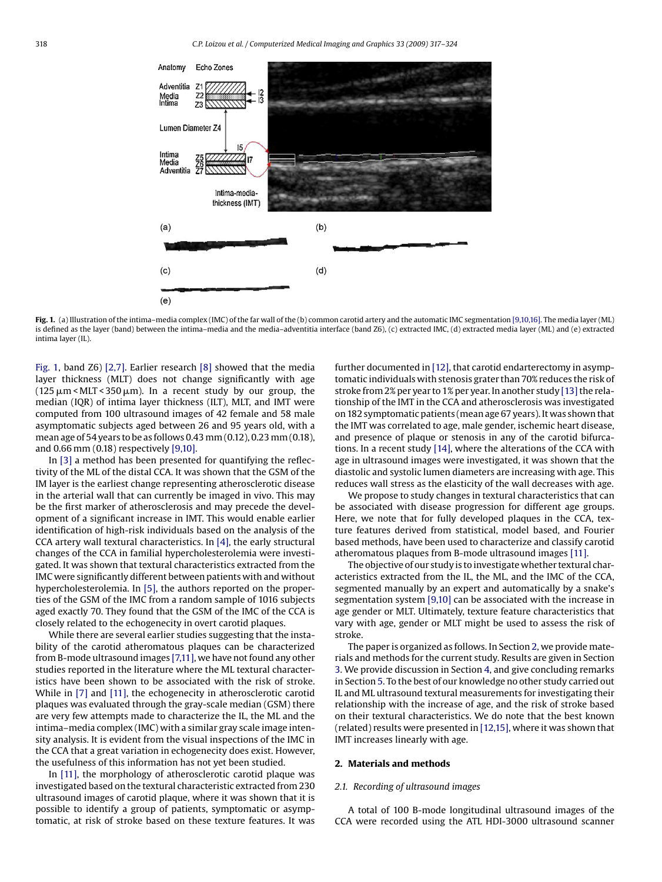<span id="page-1-0"></span>

**Fig. 1.** (a) Illustration of the intima–media complex (IMC) of the far wall of the (b) common carotid artery and the automatic IMC segmentation [\[9,10,16\]. T](#page-6-0)he media layer (ML) is defined as the layer (band) between the intima–media and the media–adventitia interface (band Z6), (c) extracted IMC, (d) extracted media layer (ML) and (e) extracted intima layer (IL).

Fig. 1, band Z6) [\[2,7\].](#page-6-0) Earlier research [\[8\]](#page-6-0) showed that the media layer thickness (MLT) does not change significantly with age (125  $\mu$ m<MLT<350  $\mu$ m). In a recent study by our group, the median (IQR) of intima layer thickness (ILT), MLT, and IMT were computed from 100 ultrasound images of 42 female and 58 male asymptomatic subjects aged between 26 and 95 years old, with a mean age of 54 years to be as follows 0.43 mm (0.12), 0.23 mm (0.18), and 0.66 mm (0.18) respectively [\[9,10\].](#page-6-0)

In [\[3\]](#page-6-0) a method has been presented for quantifying the reflectivity of the ML of the distal CCA. It was shown that the GSM of the IM layer is the earliest change representing atherosclerotic disease in the arterial wall that can currently be imaged in vivo. This may be the first marker of atherosclerosis and may precede the development of a significant increase in IMT. This would enable earlier identification of high-risk individuals based on the analysis of the CCA artery wall textural characteristics. In [\[4\], t](#page-6-0)he early structural changes of the CCA in familial hypercholesterolemia were investigated. It was shown that textural characteristics extracted from the IMC were significantly different between patients with and without hypercholesterolemia. In [\[5\], t](#page-6-0)he authors reported on the properties of the GSM of the IMC from a random sample of 1016 subjects aged exactly 70. They found that the GSM of the IMC of the CCA is closely related to the echogenecity in overt carotid plaques.

While there are several earlier studies suggesting that the instability of the carotid atheromatous plaques can be characterized from B-mode ultrasound images [\[7,11\], w](#page-6-0)e have not found any other studies reported in the literature where the ML textural characteristics have been shown to be associated with the risk of stroke. While in [\[7\]](#page-6-0) and [\[11\], t](#page-6-0)he echogenecity in atherosclerotic carotid plaques was evaluated through the gray-scale median (GSM) there are very few attempts made to characterize the IL, the ML and the intima–media complex (IMC) with a similar gray scale image intensity analysis. It is evident from the visual inspections of the IMC in the CCA that a great variation in echogenecity does exist. However, the usefulness of this information has not yet been studied.

In [\[11\],](#page-6-0) the morphology of atherosclerotic carotid plaque was investigated based on the textural characteristic extracted from 230 ultrasound images of carotid plaque, where it was shown that it is possible to identify a group of patients, symptomatic or asymptomatic, at risk of stroke based on these texture features. It was

further documented in [\[12\], t](#page-6-0)hat carotid endarterectomy in asymptomatic individuals with stenosis grater than 70% reduces the risk of stroke from 2% per year to 1% per year. In another study  $[13]$  the relationship of the IMT in the CCA and atherosclerosis was investigated on 182 symptomatic patients (mean age 67 years). It was shown that the IMT was correlated to age, male gender, ischemic heart disease, and presence of plaque or stenosis in any of the carotid bifurcations. In a recent study [\[14\], w](#page-6-0)here the alterations of the CCA with age in ultrasound images were investigated, it was shown that the diastolic and systolic lumen diameters are increasing with age. This reduces wall stress as the elasticity of the wall decreases with age.

We propose to study changes in textural characteristics that can be associated with disease progression for different age groups. Here, we note that for fully developed plaques in the CCA, texture features derived from statistical, model based, and Fourier based methods, have been used to characterize and classify carotid atheromatous plaques from B-mode ultrasound images [\[11\].](#page-6-0)

The objective of our study is to investigate whether textural characteristics extracted from the IL, the ML, and the IMC of the CCA, segmented manually by an expert and automatically by a snake's segmentation system [\[9,10\]](#page-6-0) can be associated with the increase in age gender or MLT. Ultimately, texture feature characteristics that vary with age, gender or MLT might be used to assess the risk of stroke.

The paper is organized as follows. In Section 2, we provide materials and methods for the current study. Results are given in Section [3. W](#page-2-0)e provide discussion in Section [4, a](#page-3-0)nd give concluding remarks in Section [5. T](#page-6-0)o the best of our knowledge no other study carried out IL and ML ultrasound textural measurements for investigating their relationship with the increase of age, and the risk of stroke based on their textural characteristics. We do note that the best known (related) results were presented in [\[12,15\], w](#page-6-0)here it was shown that IMT increases linearly with age.

## **2. Materials and methods**

## *2.1. Recording of ultrasound images*

A total of 100 B-mode longitudinal ultrasound images of the CCA were recorded using the ATL HDI-3000 ultrasound scanner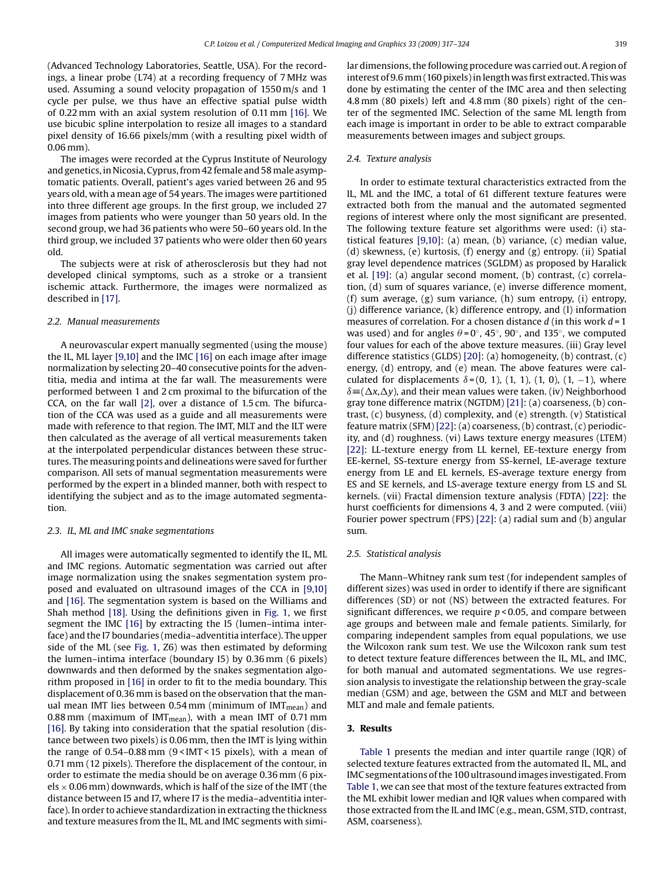<span id="page-2-0"></span>(Advanced Technology Laboratories, Seattle, USA). For the recordings, a linear probe (L74) at a recording frequency of 7 MHz was used. Assuming a sound velocity propagation of 1550 m/s and 1 cycle per pulse, we thus have an effective spatial pulse width of 0.22 mm with an axial system resolution of 0.11 mm [\[16\]. W](#page-6-0)e use bicubic spline interpolation to resize all images to a standard pixel density of 16.66 pixels/mm (with a resulting pixel width of 0.06 mm).

The images were recorded at the Cyprus Institute of Neurology and genetics, in Nicosia, Cyprus, from 42 female and 58male asymptomatic patients. Overall, patient's ages varied between 26 and 95 years old, with a mean age of 54 years. The images were partitioned into three different age groups. In the first group, we included 27 images from patients who were younger than 50 years old. In the second group, we had 36 patients who were 50–60 years old. In the third group, we included 37 patients who were older then 60 years old.

The subjects were at risk of atherosclerosis but they had not developed clinical symptoms, such as a stroke or a transient ischemic attack. Furthermore, the images were normalized as described in [\[17\].](#page-6-0)

#### *2.2. Manual measurements*

A neurovascular expert manually segmented (using the mouse) the IL, ML layer [\[9,10\]](#page-6-0) and the IMC [\[16\]](#page-6-0) on each image after image normalization by selecting 20–40 consecutive points for the adventitia, media and intima at the far wall. The measurements were performed between 1 and 2 cm proximal to the bifurcation of the CCA, on the far wall [\[2\],](#page-6-0) over a distance of 1.5 cm. The bifurcation of the CCA was used as a guide and all measurements were made with reference to that region. The IMT, MLT and the ILT were then calculated as the average of all vertical measurements taken at the interpolated perpendicular distances between these structures. The measuring points and delineations were saved for further comparison. All sets of manual segmentation measurements were performed by the expert in a blinded manner, both with respect to identifying the subject and as to the image automated segmentation.

## *2.3. IL, ML and IMC snake segmentations*

All images were automatically segmented to identify the IL, ML and IMC regions. Automatic segmentation was carried out after image normalization using the snakes segmentation system proposed and evaluated on ultrasound images of the CCA in [\[9,10\]](#page-6-0) and [\[16\]. T](#page-6-0)he segmentation system is based on the Williams and Shah method [\[18\].](#page-6-0) Using the definitions given in [Fig. 1,](#page-1-0) we first segment the IMC [\[16\]](#page-6-0) by extracting the I5 (lumen-intima interface) and the I7 boundaries (media–adventitia interface). The upper side of the ML (see [Fig. 1,](#page-1-0) Z6) was then estimated by deforming the lumen–intima interface (boundary I5) by 0.36 mm (6 pixels) downwards and then deformed by the snakes segmentation algorithm proposed in [\[16\]](#page-6-0) in order to fit to the media boundary. This displacement of 0.36 mm is based on the observation that the manual mean IMT lies between 0.54 mm (minimum of IMT $_{\text{mean}}$ ) and 0.88 mm (maximum of IMT<sub>mean</sub>), with a mean IMT of 0.71 mm [\[16\]. B](#page-6-0)y taking into consideration that the spatial resolution (distance between two pixels) is 0.06 mm, then the IMT is lying within the range of 0.54–0.88 mm (9 < IMT < 15 pixels), with a mean of 0.71 mm (12 pixels). Therefore the displacement of the contour, in order to estimate the media should be on average 0.36 mm (6 pixels  $\times$  0.06 mm) downwards, which is half of the size of the IMT (the distance between I5 and I7, where I7 is the media–adventitia interface). In order to achieve standardization in extracting the thickness and texture measures from the IL, ML and IMC segments with similar dimensions, the following procedure was carried out. A region of interest of 9.6 mm (160 pixels) in length was first extracted. This was done by estimating the center of the IMC area and then selecting 4.8 mm (80 pixels) left and 4.8 mm (80 pixels) right of the center of the segmented IMC. Selection of the same ML length from each image is important in order to be able to extract comparable measurements between images and subject groups.

## *2.4. Texture analysis*

In order to estimate textural characteristics extracted from the IL, ML and the IMC, a total of 61 different texture features were extracted both from the manual and the automated segmented regions of interest where only the most significant are presented. The following texture feature set algorithms were used: (i) statistical features [\[9,10\]:](#page-6-0) (a) mean, (b) variance, (c) median value, (d) skewness, (e) kurtosis, (f) energy and (g) entropy. (ii) Spatial gray level dependence matrices (SGLDM) as proposed by Haralick et al. [\[19\]:](#page-6-0) (a) angular second moment, (b) contrast, (c) correlation, (d) sum of squares variance, (e) inverse difference moment, (f) sum average, (g) sum variance, (h) sum entropy, (i) entropy, (j) difference variance, (k) difference entropy, and (l) information measures of correlation. For a chosen distance *d* (in this work *d* = 1 was used) and for angles  $\theta = 0^\circ$ , 45 $^\circ$ , 90 $^\circ$ , and 135 $^\circ$ , we computed four values for each of the above texture measures. (iii) Gray level difference statistics (GLDS) [\[20\]:](#page-6-0) (a) homogeneity, (b) contrast, (c) energy, (d) entropy, and (e) mean. The above features were calculated for displacements  $\delta = (0, 1)$ ,  $(1, 1)$ ,  $(1, 0)$ ,  $(1, -1)$ , where  $\delta = (\Delta x, \Delta y)$ , and their mean values were taken. (iv) Neighborhood gray tone difference matrix (NGTDM) [\[21\]:](#page-6-0) (a) coarseness, (b) contrast, (c) busyness, (d) complexity, and (e) strength. (v) Statistical feature matrix (SFM) [\[22\]: \(](#page-6-0)a) coarseness, (b) contrast, (c) periodicity, and (d) roughness. (vi) Laws texture energy measures (LTEM) [\[22\]:](#page-6-0) LL-texture energy from LL kernel, EE-texture energy from EE-kernel, SS-texture energy from SS-kernel, LE-average texture energy from LE and EL kernels, ES-average texture energy from ES and SE kernels, and LS-average texture energy from LS and SL kernels. (vii) Fractal dimension texture analysis (FDTA) [\[22\]:](#page-6-0) the hurst coefficients for dimensions 4, 3 and 2 were computed. (viii) Fourier power spectrum (FPS) [\[22\]:](#page-6-0) (a) radial sum and (b) angular sum.

## *2.5. Statistical analysis*

The Mann–Whitney rank sum test (for independent samples of different sizes) was used in order to identify if there are significant differences (SD) or not (NS) between the extracted features. For significant differences, we require *p* < 0.05, and compare between age groups and between male and female patients. Similarly, for comparing independent samples from equal populations, we use the Wilcoxon rank sum test. We use the Wilcoxon rank sum test to detect texture feature differences between the IL, ML, and IMC, for both manual and automated segmentations. We use regression analysis to investigate the relationship between the gray-scale median (GSM) and age, between the GSM and MLT and between MLT and male and female patients.

## **3. Results**

[Table 1](#page-3-0) presents the median and inter quartile range (IQR) of selected texture features extracted from the automated IL, ML, and IMC segmentations of the 100 ultrasound images investigated. From [Table 1, w](#page-3-0)e can see that most of the texture features extracted from the ML exhibit lower median and IQR values when compared with those extracted from the IL and IMC (e.g., mean, GSM, STD, contrast, ASM, coarseness).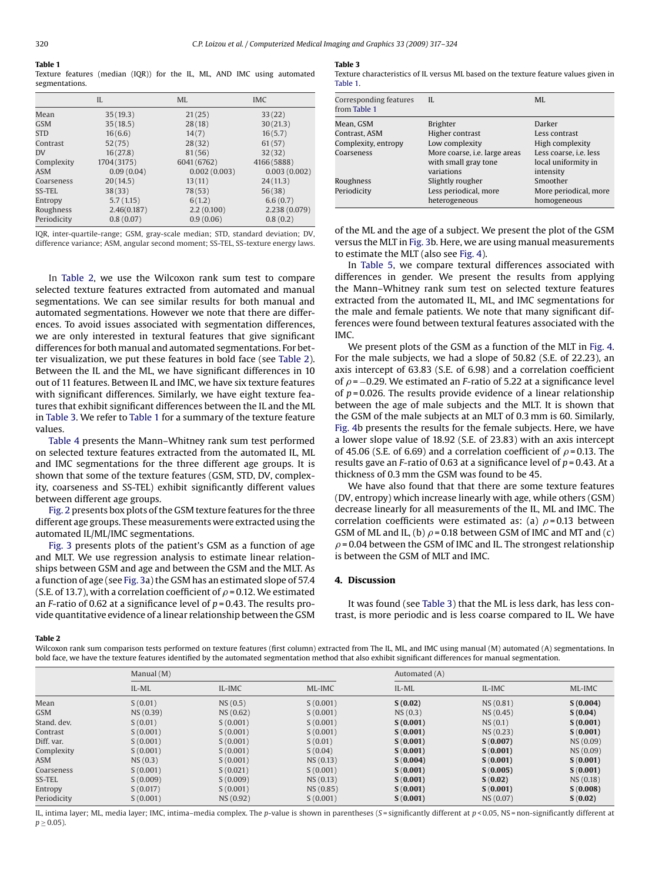#### <span id="page-3-0"></span>**Table 1**

Texture features (median (IQR)) for the IL, ML, AND IMC using automated segmentations.

|             | IL          | <b>ML</b>    | <b>IMC</b>    |
|-------------|-------------|--------------|---------------|
| Mean        | 35(19.3)    | 21(25)       | 33(22)        |
| <b>GSM</b>  | 35(18.5)    | 28(18)       | 30(21.3)      |
| <b>STD</b>  | 16(6.6)     | 14(7)        | 16(5.7)       |
| Contrast    | 52(75)      | 28(32)       | 61(57)        |
| <b>DV</b>   | 16(27.8)    | 81(56)       | 32(32)        |
| Complexity  | 1704 (3175) | 6041 (6762)  | 4166(5888)    |
| ASM         | 0.09(0.04)  | 0.002(0.003) | 0.003(0.002)  |
| Coarseness  | 20(14.5)    | 13(11)       | 24(11.3)      |
| SS-TEL      | 38(33)      | 78(53)       | 56(38)        |
| Entropy     | 5.7(1.15)   | 6(1.2)       | 6.6(0.7)      |
| Roughness   | 2.46(0.187) | 2.2(0.100)   | 2.238 (0.079) |
| Periodicity | 0.8(0.07)   | 0.9(0.06)    | 0.8(0.2)      |

IQR, inter-quartile-range; GSM, gray-scale median; STD, standard deviation; DV, difference variance; ASM, angular second moment; SS-TEL, SS-texture energy laws.

In Table 2, we use the Wilcoxon rank sum test to compare selected texture features extracted from automated and manual segmentations. We can see similar results for both manual and automated segmentations. However we note that there are differences. To avoid issues associated with segmentation differences, we are only interested in textural features that give significant differences for both manual and automated segmentations. For better visualization, we put these features in bold face (see Table 2). Between the IL and the ML, we have significant differences in 10 out of 11 features. Between IL and IMC, we have six texture features with significant differences. Similarly, we have eight texture features that exhibit significant differences between the IL and the ML in Table 3. We refer to Table 1 for a summary of the texture feature values.

[Table 4](#page-4-0) presents the Mann–Whitney rank sum test performed on selected texture features extracted from the automated IL, ML and IMC segmentations for the three different age groups. It is shown that some of the texture features (GSM, STD, DV, complexity, coarseness and SS-TEL) exhibit significantly different values between different age groups.

[Fig. 2](#page-5-0) presents box plots of the GSM texture features for the three different age groups. These measurements were extracted using the automated IL/ML/IMC segmentations.

[Fig. 3](#page-5-0) presents plots of the patient's GSM as a function of age and MLT. We use regression analysis to estimate linear relationships between GSM and age and between the GSM and the MLT. As a function of age (see [Fig. 3a\)](#page-5-0) the GSM has an estimated slope of 57.4 (S.E. of 13.7), with a correlation coefficient of  $\rho$  = 0.12. We estimated an *F*-ratio of 0.62 at a significance level of *p* = 0.43. The results provide quantitative evidence of a linear relationship between the GSM

### **Table 3**

Texture characteristics of IL versus ML based on the texture feature values given in Table 1.

| Corresponding features<br>from Table 1 | H.                                                                         | MI.                                                        |
|----------------------------------------|----------------------------------------------------------------------------|------------------------------------------------------------|
| Mean, GSM                              | <b>Brighter</b>                                                            | Darker                                                     |
| Contrast, ASM                          | Higher contrast                                                            | Less contrast                                              |
| Complexity, entropy                    | Low complexity                                                             | High complexity                                            |
| Coarseness                             | More coarse, <i>i.e.</i> large areas<br>with small gray tone<br>variations | Less coarse, i.e. less<br>local uniformity in<br>intensity |
| Roughness                              | Slightly rougher                                                           | Smoother                                                   |
| Periodicity                            | Less periodical, more<br>heterogeneous                                     | More periodical, more<br>homogeneous                       |

of the ML and the age of a subject. We present the plot of the GSM versus the MLT in [Fig. 3b.](#page-5-0) Here, we are using manual measurements to estimate the MLT (also see [Fig. 4\).](#page-5-0)

In [Table 5,](#page-6-0) we compare textural differences associated with differences in gender. We present the results from applying the Mann–Whitney rank sum test on selected texture features extracted from the automated IL, ML, and IMC segmentations for the male and female patients. We note that many significant differences were found between textural features associated with the IMC.

We present plots of the GSM as a function of the MLT in [Fig. 4.](#page-5-0) For the male subjects, we had a slope of 50.82 (S.E. of 22.23), an axis intercept of 63.83 (S.E. of 6.98) and a correlation coefficient of  $\rho$  = −0.29. We estimated an *F*-ratio of 5.22 at a significance level of *p* = 0.026. The results provide evidence of a linear relationship between the age of male subjects and the MLT. It is shown that the GSM of the male subjects at an MLT of 0.3 mm is 60. Similarly, [Fig. 4b](#page-5-0) presents the results for the female subjects. Here, we have a lower slope value of 18.92 (S.E. of 23.83) with an axis intercept of 45.06 (S.E. of 6.69) and a correlation coefficient of  $\rho$  = 0.13. The results gave an *F*-ratio of 0.63 at a significance level of *p* = 0.43. At a thickness of 0.3 mm the GSM was found to be 45.

We have also found that that there are some texture features (DV, entropy) which increase linearly with age, while others (GSM) decrease linearly for all measurements of the IL, ML and IMC. The correlation coefficients were estimated as: (a)  $\rho$ =0.13 between GSM of ML and IL, (b)  $\rho$  = 0.18 between GSM of IMC and MT and (c)  $\rho$  = 0.04 between the GSM of IMC and IL. The strongest relationship is between the GSM of MLT and IMC.

## **4. Discussion**

It was found (see Table 3) that the ML is less dark, has less contrast, is more periodic and is less coarse compared to IL. We have

#### **Table 2**

Wilcoxon rank sum comparison tests performed on texture features (first column) extracted from The IL, ML, and IMC using manual (M) automated (A) segmentations. In bold face, we have the texture features identified by the automated segmentation method that also exhibit significant differences for manual segmentation.

|             | Manual $(M)$ |           |          | Automated (A) |           |          |  |
|-------------|--------------|-----------|----------|---------------|-----------|----------|--|
|             | IL-ML        | IL-IMC    | ML-IMC   | IL-ML         | IL-IMC    | ML-IMC   |  |
| Mean        | S(0.01)      | NS(0.5)   | S(0.001) | S(0.02)       | NS (0.81) | S(0.004) |  |
| <b>GSM</b>  | NS(0.39)     | NS(0.62)  | S(0.001) | NS(0.3)       | NS(0.45)  | S(0.04)  |  |
| Stand, dev. | S(0.01)      | S(0.001)  | S(0.001) | S(0.001)      | NS(0.1)   | S(0.001) |  |
| Contrast    | S(0.001)     | S(0.001)  | S(0.001) | S(0.001)      | NS(0.23)  | S(0.001) |  |
| Diff, var.  | S(0.001)     | S(0.001)  | S(0.01)  | S(0.001)      | S(0.007)  | NS(0.09) |  |
| Complexity  | S(0.001)     | S(0.001)  | S(0.04)  | S(0.001)      | S(0.001)  | NS(0.09) |  |
| ASM         | NS(0.3)      | S(0.001)  | NS(0.13) | S(0.004)      | S(0.001)  | S(0.001) |  |
| Coarseness  | S(0.001)     | S(0.021)  | S(0.001) | S(0.001)      | S(0.005)  | S(0.001) |  |
| SS-TEL      | S(0.009)     | S(0.009)  | NS(0.13) | S(0.001)      | S(0.02)   | NS(0.18) |  |
| Entropy     | S(0.017)     | S(0.001)  | NS(0.85) | S(0.001)      | S(0.001)  | S(0.008) |  |
| Periodicity | S(0.001)     | NS (0.92) | S(0.001) | S(0.001)      | NS (0.07) | S(0.02)  |  |

IL, intima layer; ML, media layer; IMC, intima–media complex. The *p*-value is shown in parentheses (*S* = significantly different at *p* < 0.05, NS = non-significantly different at  $p > 0.05$ ).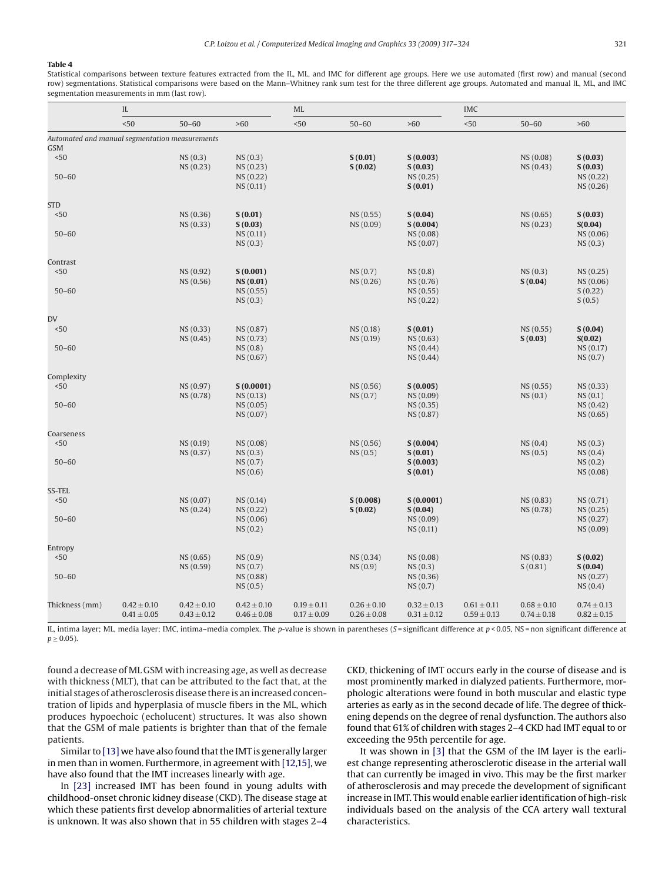#### <span id="page-4-0"></span>**Table 4**

Statistical comparisons between texture features extracted from the IL, ML, and IMC for different age groups. Here we use automated (first row) and manual (second row) segmentations. Statistical comparisons were based on the Mann–Whitney rank sum test for the three different age groups. Automated and manual IL, ML, and IMC segmentation measurements in mm (last row).

|                                                | IL              |                       | ML                              |                 |                        | <b>IMC</b>                      |                 |                        |                                 |
|------------------------------------------------|-----------------|-----------------------|---------------------------------|-----------------|------------------------|---------------------------------|-----------------|------------------------|---------------------------------|
|                                                | < 50            | $50 - 60$             | >60                             | < 50            | $50 - 60$              | >60                             | $50$            | $50 - 60$              | >60                             |
| Automated and manual segmentation measurements |                 |                       |                                 |                 |                        |                                 |                 |                        |                                 |
| <b>GSM</b>                                     |                 |                       |                                 |                 |                        |                                 |                 |                        |                                 |
| $< 50$<br>$50 - 60$                            |                 | NS(0.3)<br>NS(0.23)   | NS(0.3)<br>NS(0.23)<br>NS(0.22) |                 | S(0.01)<br>S(0.02)     | S(0.003)<br>S(0.03)<br>NS(0.25) |                 | NS (0.08)<br>NS (0.43) | S(0.03)<br>S(0.03)<br>NS (0.22) |
|                                                |                 |                       | NS(0.11)                        |                 |                        | S(0.01)                         |                 |                        | NS (0.26)                       |
| <b>STD</b>                                     |                 |                       |                                 |                 |                        |                                 |                 |                        |                                 |
| < 50                                           |                 | NS (0.36)<br>NS(0.33) | S(0.01)<br>S(0.03)              |                 | NS (0.55)<br>NS (0.09) | S(0.04)<br>S(0.004)             |                 | NS (0.65)<br>NS (0.23) | S(0.03)<br>S(0.04)              |
| $50 - 60$                                      |                 |                       | NS(0.11)                        |                 |                        | NS (0.08)                       |                 |                        | NS (0.06)                       |
|                                                |                 |                       | NS(0.3)                         |                 |                        | NS (0.07)                       |                 |                        | NS(0.3)                         |
| Contrast                                       |                 |                       |                                 |                 |                        |                                 |                 |                        |                                 |
| < 50                                           |                 | NS (0.92)             | S(0.001)                        |                 | NS(0.7)                | NS(0.8)                         |                 | NS(0.3)                | NS (0.25)                       |
|                                                |                 | NS (0.56)             | NS (0.01)                       |                 | NS (0.26)              | NS (0.76)                       |                 | S(0.04)                | NS (0.06)                       |
| $50 - 60$                                      |                 |                       | NS (0.55)<br>NS(0.3)            |                 |                        | NS(0.55)<br>NS (0.22)           |                 |                        | S(0.22)<br>S(0.5)               |
| DV                                             |                 |                       |                                 |                 |                        |                                 |                 |                        |                                 |
| < 50                                           |                 | NS (0.33)             | NS (0.87)                       |                 | NS (0.18)              | S(0.01)                         |                 | NS (0.55)              | S(0.04)                         |
|                                                |                 | NS(0.45)              | NS (0.73)                       |                 | NS (0.19)              | NS (0.63)                       |                 | S(0.03)                | S(0.02)                         |
| $50 - 60$                                      |                 |                       | NS(0.8)<br>NS (0.67)            |                 |                        | NS(0.44)<br>NS(0.44)            |                 |                        | NS (0.17)<br>NS(0.7)            |
| Complexity                                     |                 |                       |                                 |                 |                        |                                 |                 |                        |                                 |
| < 50                                           |                 | NS (0.97)             | S(0.0001)                       |                 | NS (0.56)              | S(0.005)                        |                 | NS (0.55)              | NS (0.33)                       |
|                                                |                 | NS (0.78)             | NS(0.13)                        |                 | NS(0.7)                | NS (0.09)                       |                 | NS(0.1)                | NS(0.1)                         |
| $50 - 60$                                      |                 |                       | NS (0.05)                       |                 |                        | NS(0.35)                        |                 |                        | NS (0.42)                       |
|                                                |                 |                       | NS (0.07)                       |                 |                        | NS (0.87)                       |                 |                        | NS (0.65)                       |
| Coarseness                                     |                 |                       |                                 |                 |                        |                                 |                 |                        |                                 |
| $50$                                           |                 | NS(0.19)<br>NS (0.37) | NS(0.08)<br>NS(0.3)             |                 | NS (0.56)<br>NS(0.5)   | S(0.004)<br>S(0.01)             |                 | NS(0.4)<br>NS(0.5)     | NS(0.3)<br>NS(0.4)              |
| $50 - 60$                                      |                 |                       | NS(0.7)                         |                 |                        | S(0.003)                        |                 |                        | NS(0.2)                         |
|                                                |                 |                       | NS(0.6)                         |                 |                        | S(0.01)                         |                 |                        | NS (0.08)                       |
| SS-TEL                                         |                 |                       |                                 |                 |                        |                                 |                 |                        |                                 |
| $50$                                           |                 | NS (0.07)             | NS(0.14)                        |                 | S(0.008)               | S(0.0001)                       |                 | NS (0.83)              | NS (0.71)                       |
|                                                |                 | NS(0.24)              | NS(0.22)                        |                 | S(0.02)                | S(0.04)                         |                 | NS (0.78)              | NS (0.25)                       |
| $50 - 60$                                      |                 |                       | NS(0.06)<br>NS(0.2)             |                 |                        | NS(0.09)<br>NS(0.11)            |                 |                        | NS (0.27)<br>NS (0.09)          |
| Entropy                                        |                 |                       |                                 |                 |                        |                                 |                 |                        |                                 |
| < 50                                           |                 | NS (0.65)             | NS(0.9)                         |                 | NS(0.34)               | NS (0.08)                       |                 | NS(0.83)               | S(0.02)                         |
|                                                |                 | NS (0.59)             | NS(0.7)                         |                 | NS(0.9)                | NS(0.3)                         |                 | S(0.81)                | S(0.04)                         |
| $50 - 60$                                      |                 |                       | NS (0.88)<br>NS(0.5)            |                 |                        | NS(0.36)<br>NS(0.7)             |                 |                        | NS (0.27)<br>NS(0.4)            |
| Thickness (mm)                                 | $0.42 \pm 0.10$ | $0.42 \pm 0.10$       | $0.42 \pm 0.10$                 | $0.19 \pm 0.11$ | $0.26 \pm 0.10$        | $0.32 \pm 0.13$                 | $0.61 \pm 0.11$ | $0.68 \pm 0.10$        | $0.74 \pm 0.13$                 |
|                                                | $0.41 \pm 0.05$ | $0.43 \pm 0.12$       | $0.46 \pm 0.08$                 | $0.17 \pm 0.09$ | $0.26 \pm 0.08$        | $0.31 \pm 0.12$                 | $0.59 \pm 0.13$ | $0.74 \pm 0.18$        | $0.82 \pm 0.15$                 |

IL, intima layer; ML, media layer; IMC, intima–media complex. The *p*-value is shown in parentheses (*S* = significant difference at *p* < 0.05, NS = non significant difference at  $p \geq 0.05$ ).

found a decrease of ML GSM with increasing age, as well as decrease with thickness (MLT), that can be attributed to the fact that, at the initial stages of atherosclerosis disease there is an increased concentration of lipids and hyperplasia of muscle fibers in the ML, which produces hypoechoic (echolucent) structures. It was also shown that the GSM of male patients is brighter than that of the female patients.

Similar to [\[13\]](#page-6-0) we have also found that the IMT is generally larger in men than in women. Furthermore, in agreement with [\[12,15\], w](#page-6-0)e have also found that the IMT increases linearly with age.

In [\[23\]](#page-6-0) increased IMT has been found in young adults with childhood-onset chronic kidney disease (CKD). The disease stage at which these patients first develop abnormalities of arterial texture is unknown. It was also shown that in 55 children with stages 2–4 CKD, thickening of IMT occurs early in the course of disease and is most prominently marked in dialyzed patients. Furthermore, morphologic alterations were found in both muscular and elastic type arteries as early as in the second decade of life. The degree of thickening depends on the degree of renal dysfunction. The authors also found that 61% of children with stages 2–4 CKD had IMT equal to or exceeding the 95th percentile for age.

It was shown in [\[3\]](#page-6-0) that the GSM of the IM layer is the earliest change representing atherosclerotic disease in the arterial wall that can currently be imaged in vivo. This may be the first marker of atherosclerosis and may precede the development of significant increase in IMT. This would enable earlier identification of high-risk individuals based on the analysis of the CCA artery wall textural characteristics.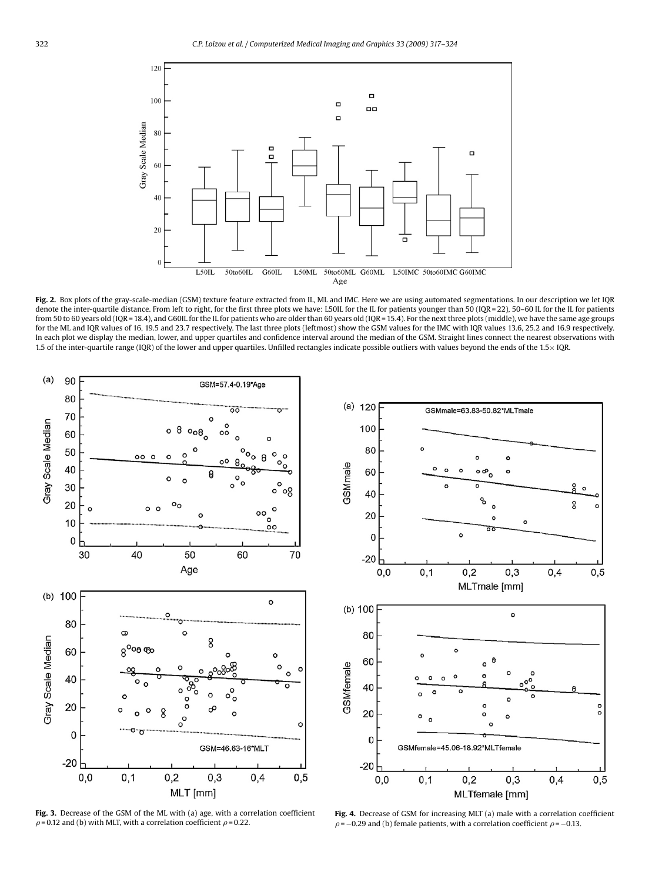<span id="page-5-0"></span>

Fig. 2. Box plots of the gray-scale-median (GSM) texture feature extracted from IL, ML and IMC. Here we are using automated segmentations. In our description we let IQR denote the inter-quartile distance. From left to right, for the first three plots we have: L50IL for the IL for patients younger than 50 (IQR = 22), 50–60 IL for the IL for patients from 50 to 60 years old (IQR = 18.4), and G60IL for the IL for patients who are older than 60 years old (IQR = 15.4). For the next three plots (middle), we have the same age groups for the ML and IQR values of 16, 19.5 and 23.7 respectively. The last three plots (leftmost) show the GSM values for the IMC with IQR values 13.6, 25.2 and 16.9 respectively. In each plot we display the median, lower, and upper quartiles and confidence interval around the median of the GSM. Straight lines connect the nearest observations with 1.5 of the inter-quartile range (IQR) of the lower and upper quartiles. Unfilled rectangles indicate possible outliers with values beyond the ends of the 1.5× IQR.



**Fig. 3.** Decrease of the GSM of the ML with (a) age, with a correlation coefficient  $\rho$  = 0.12 and (b) with MLT, with a correlation coefficient  $\rho$  = 0.22.



**Fig. 4.** Decrease of GSM for increasing MLT (a) male with a correlation coefficient  $\rho$  = −0.29 and (b) female patients, with a correlation coefficient  $\rho$  = −0.13.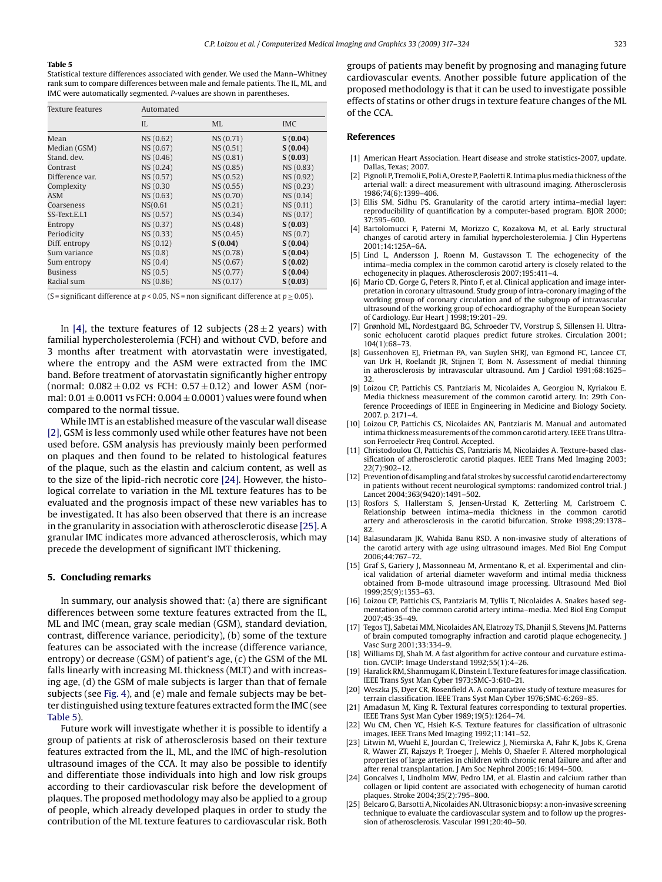#### <span id="page-6-0"></span>**Table 5**

Statistical texture differences associated with gender. We used the Mann–Whitney rank sum to compare differences between male and female patients. The IL, ML, and IMC were automatically segmented. *P*-values are shown in parentheses.

| Texture features | Automated |           |            |  |  |  |
|------------------|-----------|-----------|------------|--|--|--|
|                  | II.       | <b>ML</b> | <b>IMC</b> |  |  |  |
| Mean             | NS(0.62)  | NS (0.71) | S(0.04)    |  |  |  |
| Median (GSM)     | NS (0.67) | NS(0.51)  | S(0.04)    |  |  |  |
| Stand, dev.      | NS (0.46) | NS (0.81) | S(0.03)    |  |  |  |
| Contrast         | NS(0.24)  | NS (0.85) | NS (0.83)  |  |  |  |
| Difference var.  | NS (0.57) | NS (0.52) | NS (0.92)  |  |  |  |
| Complexity       | NS (0.30  | NS (0.55) | NS(0.23)   |  |  |  |
| <b>ASM</b>       | NS(0.63)  | NS (0.70) | NS (0.14)  |  |  |  |
| Coarseness       | NS(0.61)  | NS(0.21)  | NS (0.11)  |  |  |  |
| SS-Text.E.L1     | NS (0.57) | NS (0.34) | NS (0.17)  |  |  |  |
| Entropy          | NS (0.37) | NS (0.48) | S(0.03)    |  |  |  |
| Periodicity      | NS (0.33) | NS(0.45)  | NS(0.7)    |  |  |  |
| Diff. entropy    | NS(0.12)  | S(0.04)   | S(0.04)    |  |  |  |
| Sum variance     | NS(0.8)   | NS (0.78) | S(0.04)    |  |  |  |
| Sum entropy      | NS(0.4)   | NS (0.67) | S(0.02)    |  |  |  |
| <b>Business</b>  | NS(0.5)   | NS (0.77) | S(0.04)    |  |  |  |
| Radial sum       | NS (0.86) | NS (0.17) | S(0.03)    |  |  |  |

(S = significant difference at  $p < 0.05$ , NS = non significant difference at  $p \ge 0.05$ ).

In [4], the texture features of 12 subjects ( $28 \pm 2$  years) with familial hypercholesterolemia (FCH) and without CVD, before and 3 months after treatment with atorvastatin were investigated, where the entropy and the ASM were extracted from the IMC band. Before treatment of atorvastatin significantly higher entropy (normal:  $0.082 \pm 0.02$  vs FCH:  $0.57 \pm 0.12$ ) and lower ASM (normal:  $0.01 \pm 0.0011$  vs FCH:  $0.004 \pm 0.0001$  ) values were found when compared to the normal tissue.

While IMT is an established measure of the vascular wall disease [2], GSM is less commonly used while other features have not been used before. GSM analysis has previously mainly been performed on plaques and then found to be related to histological features of the plaque, such as the elastin and calcium content, as well as to the size of the lipid-rich necrotic core [24]. However, the histological correlate to variation in the ML texture features has to be evaluated and the prognosis impact of these new variables has to be investigated. It has also been observed that there is an increase in the granularity in association with atherosclerotic disease [25]. A granular IMC indicates more advanced atherosclerosis, which may precede the development of significant IMT thickening.

## **5. Concluding remarks**

In summary, our analysis showed that: (a) there are significant differences between some texture features extracted from the IL, ML and IMC (mean, gray scale median (GSM), standard deviation, contrast, difference variance, periodicity), (b) some of the texture features can be associated with the increase (difference variance, entropy) or decrease (GSM) of patient's age, (c) the GSM of the ML falls linearly with increasing ML thickness (MLT) and with increasing age, (d) the GSM of male subjects is larger than that of female subjects (see [Fig. 4\),](#page-5-0) and (e) male and female subjects may be better distinguished using texture features extracted form the IMC (see Table 5).

Future work will investigate whether it is possible to identify a group of patients at risk of atherosclerosis based on their texture features extracted from the IL, ML, and the IMC of high-resolution ultrasound images of the CCA. It may also be possible to identify and differentiate those individuals into high and low risk groups according to their cardiovascular risk before the development of plaques. The proposed methodology may also be applied to a group of people, which already developed plaques in order to study the contribution of the ML texture features to cardiovascular risk. Both groups of patients may benefit by prognosing and managing future cardiovascular events. Another possible future application of the proposed methodology is that it can be used to investigate possible effects of statins or other drugs in texture feature changes of the ML of the CCA.

### **References**

- [1] American Heart Association. Heart disease and stroke statistics-2007, update. Dallas, Texas; 2007.
- [2] Pignoli P, Tremoli E, Poli A, Oreste P, Paoletti R. Intima plusmedia thickness of the arterial wall: a direct measurement with ultrasound imaging. Atherosclerosis 1986;74(6):1399–406.
- [3] Ellis SM, Sidhu PS. Granularity of the carotid artery intima–medial layer: reproducibility of quantification by a computer-based program. BJOR 2000; 37:595–600.
- [4] Bartolomucci F, Paterni M, Morizzo C, Kozakova M, et al. Early structural changes of carotid artery in familial hypercholesterolemia. J Clin Hypertens 2001;14:125A–6A.
- [5] Lind L, Andersson J, Roenn M, Gustavsson T. The echogenecity of the intima–media complex in the common carotid artery is closely related to the echogenecity in plaques. Atherosclerosis 2007;195:411–4.
- [6] Mario CD, Gorge G, Peters R, Pinto F, et al. Clinical application and image interpretation in coronary ultrasound. Study group of intra-coronary imaging of the working group of coronary circulation and of the subgroup of intravascular ultrasound of the working group of echocardiography of the European Society of Cardiology. Eur Heart J 1998;19:201–29.
- [7] Grønhold ML, Nordestgaard BG, Schroeder TV, Vorstrup S, Sillensen H. Ultrasonic echolucent carotid plaques predict future strokes. Circulation 2001; 104(1):68–73.
- [8] Gussenhoven EJ, Frietman PA, van Suylen SHRJ, van Egmond FC, Lancee CT, van Urk H, Roelandt JR, Stijnen T, Bom N. Assessment of medial thinning in atherosclerosis by intravascular ultrasound. Am J Cardiol 1991;68:1625– 32.
- [9] Loizou CP, Pattichis CS, Pantziaris M, Nicolaides A, Georgiou N, Kyriakou E. Media thickness measurement of the common carotid artery. In: 29th Conference Proceedings of IEEE in Engineering in Medicine and Biology Society. 2007. p. 2171–4.
- [10] Loizou CP, Pattichis CS, Nicolaides AN, Pantziaris M. Manual and automated intima thickness measurements of the common carotid artery. IEEE Trans Ultrason Ferroelectr Freq Control. Accepted.
- [11] Christodoulou CI, Pattichis CS, Pantziaris M, Nicolaides A. Texture-based classification of atherosclerotic carotid plaques. IEEE Trans Med Imaging 2003; 22(7):902–12.
- [12] Prevention of disampling and fatal strokes by successful carotid endarterectomy in patients without recent neurological symptoms: randomized control trial. J Lancet 2004;363(9420):1491–502.
- [13] Rosfors S, Hallerstam S, Jensen-Urstad K, Zetterling M, Carlstroem C. Relationship between intima–media thickness in the common carotid artery and atherosclerosis in the carotid bifurcation. Stroke 1998;29:1378–  $82$
- [14] Balasundaram JK, Wahida Banu RSD. A non-invasive study of alterations of the carotid artery with age using ultrasound images. Med Biol Eng Comput 2006;44:767–72.
- [15] Graf S, Gariery J, Massonneau M, Armentano R, et al. Experimental and clinical validation of arterial diameter waveform and intimal media thickness obtained from B-mode ultrasound image processing. Ultrasound Med Biol 1999;25(9):1353–63.
- [16] Loizou CP, Pattichis CS, Pantziaris M, Tyllis T, Nicolaides A. Snakes based segmentation of the common carotid artery intima–media. Med Biol Eng Comput 2007;45:35–49.
- [17] Tegos TJ, Sabetai MM, Nicolaides AN, Elatrozy TS, Dhanjil S, Stevens JM. Patterns of brain computed tomography infraction and carotid plaque echogenecity. J Vasc Surg 2001;33:334–9.
- [18] Williams DJ, Shah M. A fast algorithm for active contour and curvature estimation. GVCIP: Image Understand 1992;55(1):4–26.
- [19] Haralick RM, Shanmugam K, Dinstein I. Texture features for image classification. IEEE Trans Syst Man Cyber 1973;SMC-3:610–21.
- [20] Weszka JS, Dyer CR, Rosenfield A. A comparative study of texture measures for terrain classification. IEEE Trans Syst Man Cyber 1976;SMC-6:269–85.
- [21] Amadasun M, King R. Textural features corresponding to textural properties. IEEE Trans Syst Man Cyber 1989;19(5):1264–74.
- [22] Wu CM, Chen YC, Hsieh K-S. Texture features for classification of ultrasonic images. IEEE Trans Med Imaging 1992;11:141–52.
- [23] Litwin M, Wuehl E, Jourdan C, Trelewicz J, Niemirska A, Fahr K, Jobs K, Grena R, Wawer ZT, Rajszys P, Troeger J, Mehls O, Shaefer F. Altered morphological properties of large arteries in children with chronic renal failure and after and after renal transplantation. J Am Soc Nephrol 2005;16:1494–500.
- [24] Goncalves I, Lindholm MW, Pedro LM, et al. Elastin and calcium rather than collagen or lipid content are associated with echogenecity of human carotid plaques. Stroke 2004;35(2):795–800.
- [25] Belcaro G, Barsotti A, Nicolaides AN. Ultrasonic biopsy: a non-invasive screening technique to evaluate the cardiovascular system and to follow up the progression of atherosclerosis. Vascular 1991;20:40–50.